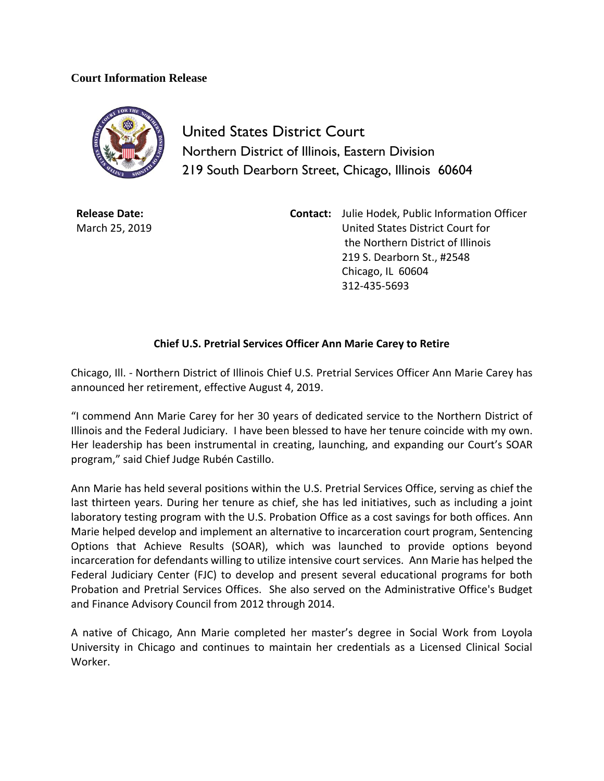## **Court Information Release**



United States District Court Northern District of Illinois, Eastern Division 219 South Dearborn Street, Chicago, Illinois 60604

**Release Date:** March 25, 2019 **Contact:** Julie Hodek, Public Information Officer United States District Court for the Northern District of Illinois 219 S. Dearborn St., #2548 Chicago, IL 60604 312-435-5693

## **Chief U.S. Pretrial Services Officer Ann Marie Carey to Retire**

Chicago, Ill. - Northern District of Illinois Chief U.S. Pretrial Services Officer Ann Marie Carey has announced her retirement, effective August 4, 2019.

"I commend Ann Marie Carey for her 30 years of dedicated service to the Northern District of Illinois and the Federal Judiciary. I have been blessed to have her tenure coincide with my own. Her leadership has been instrumental in creating, launching, and expanding our Court's SOAR program," said Chief Judge Rubén Castillo.

Ann Marie has held several positions within the U.S. Pretrial Services Office, serving as chief the last thirteen years. During her tenure as chief, she has led initiatives, such as including a joint laboratory testing program with the U.S. Probation Office as a cost savings for both offices. Ann Marie helped develop and implement an alternative to incarceration court program, Sentencing Options that Achieve Results (SOAR), which was launched to provide options beyond incarceration for defendants willing to utilize intensive court services. Ann Marie has helped the Federal Judiciary Center (FJC) to develop and present several educational programs for both Probation and Pretrial Services Offices. She also served on the Administrative Office's Budget and Finance Advisory Council from 2012 through 2014.

A native of Chicago, Ann Marie completed her master's degree in Social Work from Loyola University in Chicago and continues to maintain her credentials as a Licensed Clinical Social Worker.